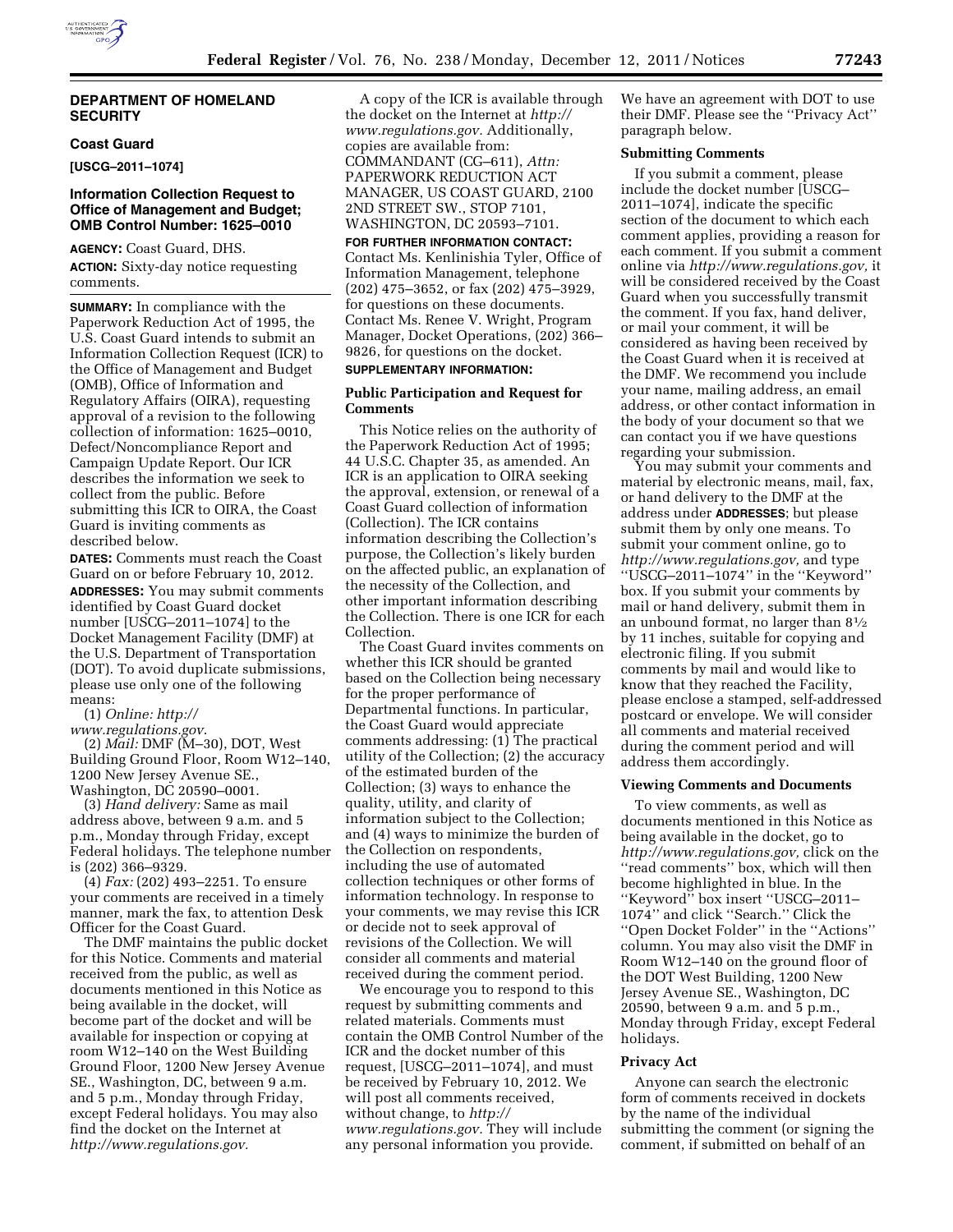

#### **DEPARTMENT OF HOMELAND SECURITY**

# **Coast Guard**

**[USCG–2011–1074]** 

## **Information Collection Request to Office of Management and Budget; OMB Control Number: 1625–0010**

**AGENCY:** Coast Guard, DHS. **ACTION:** Sixty-day notice requesting comments.

**SUMMARY:** In compliance with the Paperwork Reduction Act of 1995, the U.S. Coast Guard intends to submit an Information Collection Request (ICR) to the Office of Management and Budget (OMB), Office of Information and Regulatory Affairs (OIRA), requesting approval of a revision to the following collection of information: 1625–0010, Defect/Noncompliance Report and Campaign Update Report. Our ICR describes the information we seek to collect from the public. Before submitting this ICR to OIRA, the Coast Guard is inviting comments as described below.

**DATES:** Comments must reach the Coast Guard on or before February 10, 2012. **ADDRESSES:** You may submit comments identified by Coast Guard docket number [USCG–2011–1074] to the Docket Management Facility (DMF) at the U.S. Department of Transportation (DOT). To avoid duplicate submissions, please use only one of the following means:

(1) *Online: http://* 

*www.regulations.gov*.

(2) *Mail:* DMF (M–30), DOT, West Building Ground Floor, Room W12–140, 1200 New Jersey Avenue SE., Washington, DC 20590–0001.

(3) *Hand delivery:* Same as mail address above, between 9 a.m. and 5 p.m., Monday through Friday, except Federal holidays. The telephone number is (202) 366–9329.

(4) *Fax:* (202) 493–2251. To ensure your comments are received in a timely manner, mark the fax, to attention Desk Officer for the Coast Guard.

The DMF maintains the public docket for this Notice. Comments and material received from the public, as well as documents mentioned in this Notice as being available in the docket, will become part of the docket and will be available for inspection or copying at room W12–140 on the West Building Ground Floor, 1200 New Jersey Avenue SE., Washington, DC, between 9 a.m. and 5 p.m., Monday through Friday, except Federal holidays. You may also find the docket on the Internet at *http://www.regulations.gov.* 

A copy of the ICR is available through the docket on the Internet at *http:// www.regulations.gov.* Additionally, copies are available from: COMMANDANT (CG–611), *Attn:*  PAPERWORK REDUCTION ACT MANAGER, US COAST GUARD, 2100 2ND STREET SW., STOP 7101, WASHINGTON, DC 20593–7101.

**FOR FURTHER INFORMATION CONTACT:**  Contact Ms. Kenlinishia Tyler, Office of Information Management, telephone

(202) 475–3652, or fax (202) 475–3929, for questions on these documents. Contact Ms. Renee V. Wright, Program Manager, Docket Operations, (202) 366– 9826, for questions on the docket.

# **SUPPLEMENTARY INFORMATION:**

#### **Public Participation and Request for Comments**

This Notice relies on the authority of the Paperwork Reduction Act of 1995; 44 U.S.C. Chapter 35, as amended. An ICR is an application to OIRA seeking the approval, extension, or renewal of a Coast Guard collection of information (Collection). The ICR contains information describing the Collection's purpose, the Collection's likely burden on the affected public, an explanation of the necessity of the Collection, and other important information describing the Collection. There is one ICR for each Collection.

The Coast Guard invites comments on whether this ICR should be granted based on the Collection being necessary for the proper performance of Departmental functions. In particular, the Coast Guard would appreciate comments addressing: (1) The practical utility of the Collection; (2) the accuracy of the estimated burden of the Collection; (3) ways to enhance the quality, utility, and clarity of information subject to the Collection; and (4) ways to minimize the burden of the Collection on respondents, including the use of automated collection techniques or other forms of information technology. In response to your comments, we may revise this ICR or decide not to seek approval of revisions of the Collection. We will consider all comments and material received during the comment period.

We encourage you to respond to this request by submitting comments and related materials. Comments must contain the OMB Control Number of the ICR and the docket number of this request, [USCG–2011–1074], and must be received by February 10, 2012. We will post all comments received, without change, to *http:// www.regulations.gov.* They will include any personal information you provide.

We have an agreement with DOT to use their DMF. Please see the ''Privacy Act'' paragraph below.

# **Submitting Comments**

If you submit a comment, please include the docket number [USCG– 2011–1074], indicate the specific section of the document to which each comment applies, providing a reason for each comment. If you submit a comment online via *http://www.regulations.gov,* it will be considered received by the Coast Guard when you successfully transmit the comment. If you fax, hand deliver, or mail your comment, it will be considered as having been received by the Coast Guard when it is received at the DMF. We recommend you include your name, mailing address, an email address, or other contact information in the body of your document so that we can contact you if we have questions regarding your submission.

You may submit your comments and material by electronic means, mail, fax, or hand delivery to the DMF at the address under **ADDRESSES**; but please submit them by only one means. To submit your comment online, go to *http://www.regulations.gov,* and type ''USCG–2011–1074'' in the ''Keyword'' box. If you submit your comments by mail or hand delivery, submit them in an unbound format, no larger than 81⁄2 by 11 inches, suitable for copying and electronic filing. If you submit comments by mail and would like to know that they reached the Facility, please enclose a stamped, self-addressed postcard or envelope. We will consider all comments and material received during the comment period and will address them accordingly.

#### **Viewing Comments and Documents**

To view comments, as well as documents mentioned in this Notice as being available in the docket, go to *http://www.regulations.gov,* click on the ''read comments'' box, which will then become highlighted in blue. In the ''Keyword'' box insert ''USCG–2011– 1074'' and click ''Search.'' Click the ''Open Docket Folder'' in the ''Actions'' column. You may also visit the DMF in Room W12–140 on the ground floor of the DOT West Building, 1200 New Jersey Avenue SE., Washington, DC 20590, between 9 a.m. and 5 p.m., Monday through Friday, except Federal holidays.

#### **Privacy Act**

Anyone can search the electronic form of comments received in dockets by the name of the individual submitting the comment (or signing the comment, if submitted on behalf of an